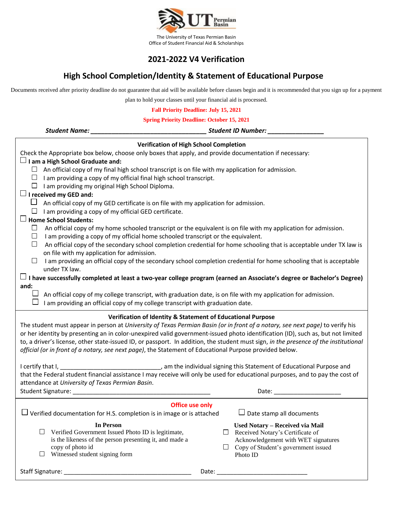

## **2021-2022 V4 Verification**

## **High School Completion/Identity & Statement of Educational Purpose**

Documents received after priority deadline do not guarantee that aid will be available before classes begin and it is recommended that you sign up for a payment

plan to hold your classes until your financial aid is processed.

**Fall Priority Deadline: July 15, 2021**

| <b>Spring Priority Deadline: October 15, 2021</b>                                                                                                                                                                                                                                                                                                                                                                                                                                                                                                                                  |  |  |  |
|------------------------------------------------------------------------------------------------------------------------------------------------------------------------------------------------------------------------------------------------------------------------------------------------------------------------------------------------------------------------------------------------------------------------------------------------------------------------------------------------------------------------------------------------------------------------------------|--|--|--|
| <b>Student Name:</b>                                                                                                                                                                                                                                                                                                                                                                                                                                                                                                                                                               |  |  |  |
| <b>Verification of High School Completion</b><br>Check the Appropriate box below, choose only boxes that apply, and provide documentation if necessary:<br>$\Box$ I am a High School Graduate and:<br>$\Box$ An official copy of my final high school transcript is on file with my application for admission.                                                                                                                                                                                                                                                                     |  |  |  |
| $\Box$ I am providing a copy of my official final high school transcript.<br>$\Box$ I am providing my original High School Diploma.<br>$\Box$ I received my GED and:<br>An official copy of my GED certificate is on file with my application for admission.                                                                                                                                                                                                                                                                                                                       |  |  |  |
| I am providing a copy of my official GED certificate.<br>ப<br>$\Box$ Home School Students:<br>An official copy of my home schooled transcript or the equivalent is on file with my application for admission.<br>ப<br>I am providing a copy of my official home schooled transcript or the equivalent.<br>ப                                                                                                                                                                                                                                                                        |  |  |  |
| An official copy of the secondary school completion credential for home schooling that is acceptable under TX law is<br>ப<br>on file with my application for admission.<br>I am providing an official copy of the secondary school completion credential for home schooling that is acceptable<br>$\Box$<br>under TX law.                                                                                                                                                                                                                                                          |  |  |  |
| I have successfully completed at least a two-year college program (earned an Associate's degree or Bachelor's Degree)<br>and:<br>An official copy of my college transcript, with graduation date, is on file with my application for admission.<br>I am providing an official copy of my college transcript with graduation date.                                                                                                                                                                                                                                                  |  |  |  |
| Verification of Identity & Statement of Educational Purpose<br>The student must appear in person at University of Texas Permian Basin (or in front of a notary, see next page) to verify his<br>or her identity by presenting an in color-unexpired valid government-issued photo identification (ID), such as, but not limited<br>to, a driver's license, other state-issued ID, or passport. In addition, the student must sign, in the presence of the institutional<br>official (or in front of a notary, see next page), the Statement of Educational Purpose provided below. |  |  |  |
| that the Federal student financial assistance I may receive will only be used for educational purposes, and to pay the cost of<br>attendance at University of Texas Permian Basin.<br>Student Signature: ____________<br>Date:                                                                                                                                                                                                                                                                                                                                                     |  |  |  |
| <b>Office use only</b><br>$\Box$ Date stamp all documents<br>Verified documentation for H.S. completion is in image or is attached                                                                                                                                                                                                                                                                                                                                                                                                                                                 |  |  |  |
| <b>In Person</b><br>Used Notary - Received via Mail<br>Verified Government Issued Photo ID is legitimate,<br>Received Notary's Certificate of<br>ப<br>is the likeness of the person presenting it, and made a<br>Acknowledgement with WET signatures<br>copy of photo id<br>Copy of Student's government issued<br>ப<br>Witnessed student signing form<br>Photo ID                                                                                                                                                                                                                 |  |  |  |
|                                                                                                                                                                                                                                                                                                                                                                                                                                                                                                                                                                                    |  |  |  |